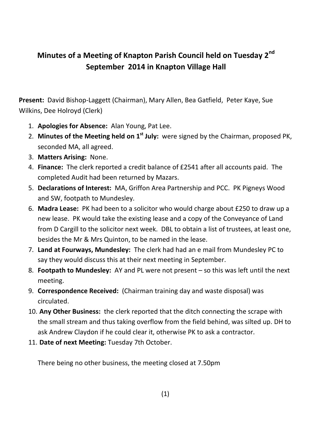## **Minutes of a Meeting of Knapton Parish Council held on Tuesday 2nd September 2014 in Knapton Village Hall**

**Present:** David Bishop-Laggett (Chairman), Mary Allen, Bea Gatfield, Peter Kaye, Sue Wilkins, Dee Holroyd (Clerk)

- 1. **Apologies for Absence:** Alan Young, Pat Lee.
- 2. **Minutes of the Meeting held on 1st July:** were signed by the Chairman, proposed PK, seconded MA, all agreed.
- 3. **Matters Arising:** None.
- 4. **Finance:** The clerk reported a credit balance of £2541 after all accounts paid. The completed Audit had been returned by Mazars.
- 5. **Declarations of Interest:** MA, Griffon Area Partnership and PCC. PK Pigneys Wood and SW, footpath to Mundesley.
- 6. **Madra Lease:** PK had been to a solicitor who would charge about £250 to draw up a new lease. PK would take the existing lease and a copy of the Conveyance of Land from D Cargill to the solicitor next week. DBL to obtain a list of trustees, at least one, besides the Mr & Mrs Quinton, to be named in the lease.
- 7. **Land at Fourways, Mundesley:** The clerk had had an e mail from Mundesley PC to say they would discuss this at their next meeting in September.
- 8. **Footpath to Mundesley:** AY and PL were not present so this was left until the next meeting.
- 9. **Correspondence Received:** (Chairman training day and waste disposal) was circulated.
- 10. **Any Other Business:** the clerk reported that the ditch connecting the scrape with the small stream and thus taking overflow from the field behind, was silted up. DH to ask Andrew Claydon if he could clear it, otherwise PK to ask a contractor.
- 11. **Date of next Meeting:** Tuesday 7th October.

There being no other business, the meeting closed at 7.50pm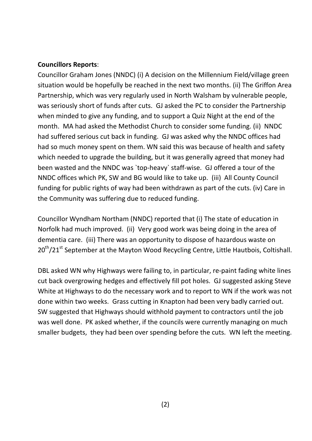## **Councillors Reports**:

Councillor Graham Jones (NNDC) (i) A decision on the Millennium Field/village green situation would be hopefully be reached in the next two months. (ii) The Griffon Area Partnership, which was very regularly used in North Walsham by vulnerable people, was seriously short of funds after cuts. GJ asked the PC to consider the Partnership when minded to give any funding, and to support a Quiz Night at the end of the month. MA had asked the Methodist Church to consider some funding. (ii) NNDC had suffered serious cut back in funding. GJ was asked why the NNDC offices had had so much money spent on them. WN said this was because of health and safety which needed to upgrade the building, but it was generally agreed that money had been wasted and the NNDC was `top-heavy` staff-wise. GJ offered a tour of the NNDC offices which PK, SW and BG would like to take up. (iii) All County Council funding for public rights of way had been withdrawn as part of the cuts. (iv) Care in the Community was suffering due to reduced funding.

Councillor Wyndham Northam (NNDC) reported that (i) The state of education in Norfolk had much improved. (ii) Very good work was being doing in the area of dementia care. (iii) There was an opportunity to dispose of hazardous waste on 20<sup>th</sup>/21<sup>st</sup> September at the Mayton Wood Recycling Centre, Little Hautbois, Coltishall.

DBL asked WN why Highways were failing to, in particular, re-paint fading white lines cut back overgrowing hedges and effectively fill pot holes. GJ suggested asking Steve White at Highways to do the necessary work and to report to WN if the work was not done within two weeks. Grass cutting in Knapton had been very badly carried out. SW suggested that Highways should withhold payment to contractors until the job was well done. PK asked whether, if the councils were currently managing on much smaller budgets, they had been over spending before the cuts. WN left the meeting.